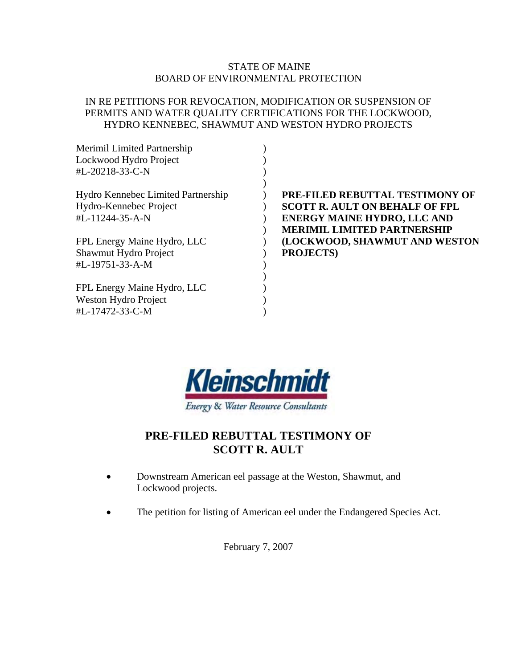### STATE OF MAINE BOARD OF ENVIRONMENTAL PROTECTION

# IN RE PETITIONS FOR REVOCATION, MODIFICATION OR SUSPENSION OF PERMITS AND WATER QUALITY CERTIFICATIONS FOR THE LOCKWOOD, HYDRO KENNEBEC, SHAWMUT AND WESTON HYDRO PROJECTS

| <b>SCOTT R. AULT ON BEHALF OF FPL</b> |                                                                  |
|---------------------------------------|------------------------------------------------------------------|
| <b>ENERGY MAINE HYDRO, LLC AND</b>    |                                                                  |
| <b>MERIMIL LIMITED PARTNERSHIP</b>    |                                                                  |
|                                       |                                                                  |
| <b>PROJECTS</b> )                     |                                                                  |
|                                       |                                                                  |
|                                       |                                                                  |
|                                       |                                                                  |
|                                       |                                                                  |
|                                       |                                                                  |
|                                       | PRE-FILED REBUTTAL TESTIMONY OF<br>(LOCKWOOD, SHAWMUT AND WESTON |



# **PRE-FILED REBUTTAL TESTIMONY OF SCOTT R. AULT**

- Downstream American eel passage at the Weston, Shawmut, and Lockwood projects.
- The petition for listing of American eel under the Endangered Species Act.

February 7, 2007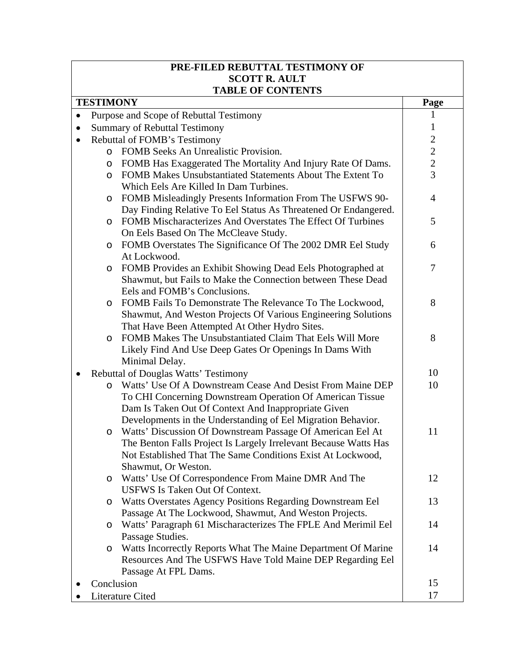| PRE-FILED REBUTTAL TESTIMONY OF              |                                                                                                                |                |  |
|----------------------------------------------|----------------------------------------------------------------------------------------------------------------|----------------|--|
| <b>SCOTT R. AULT</b>                         |                                                                                                                |                |  |
| <b>TABLE OF CONTENTS</b><br><b>TESTIMONY</b> |                                                                                                                |                |  |
|                                              |                                                                                                                | Page           |  |
|                                              | Purpose and Scope of Rebuttal Testimony                                                                        |                |  |
|                                              | <b>Summary of Rebuttal Testimony</b>                                                                           | 1              |  |
|                                              | <b>Rebuttal of FOMB's Testimony</b>                                                                            | $\mathbf{2}$   |  |
|                                              | o FOMB Seeks An Unrealistic Provision.                                                                         | $\overline{2}$ |  |
|                                              | o FOMB Has Exaggerated The Mortality And Injury Rate Of Dams.                                                  | $\overline{2}$ |  |
|                                              | FOMB Makes Unsubstantiated Statements About The Extent To<br>$\circ$<br>Which Eels Are Killed In Dam Turbines. | 3              |  |
|                                              | FOMB Misleadingly Presents Information From The USFWS 90-<br>$\circ$                                           | $\overline{4}$ |  |
|                                              | Day Finding Relative To Eel Status As Threatened Or Endangered.                                                |                |  |
|                                              | FOMB Mischaracterizes And Overstates The Effect Of Turbines<br>$\circ$                                         | 5              |  |
|                                              | On Eels Based On The McCleave Study.                                                                           |                |  |
|                                              | FOMB Overstates The Significance Of The 2002 DMR Eel Study<br>$\circ$                                          | 6              |  |
|                                              | At Lockwood.                                                                                                   |                |  |
|                                              | FOMB Provides an Exhibit Showing Dead Eels Photographed at<br>O                                                | 7              |  |
|                                              | Shawmut, but Fails to Make the Connection between These Dead                                                   |                |  |
|                                              | Eels and FOMB's Conclusions.                                                                                   |                |  |
|                                              | FOMB Fails To Demonstrate The Relevance To The Lockwood,<br>$\circ$                                            | 8              |  |
|                                              | Shawmut, And Weston Projects Of Various Engineering Solutions                                                  |                |  |
|                                              | That Have Been Attempted At Other Hydro Sites.                                                                 |                |  |
|                                              | FOMB Makes The Unsubstantiated Claim That Eels Will More<br>$\circ$                                            | 8              |  |
|                                              | Likely Find And Use Deep Gates Or Openings In Dams With                                                        |                |  |
|                                              | Minimal Delay.                                                                                                 |                |  |
|                                              | <b>Rebuttal of Douglas Watts' Testimony</b>                                                                    | 10             |  |
|                                              | Watts' Use Of A Downstream Cease And Desist From Maine DEP<br>O                                                | 10             |  |
|                                              | To CHI Concerning Downstream Operation Of American Tissue                                                      |                |  |
|                                              | Dam Is Taken Out Of Context And Inappropriate Given                                                            |                |  |
|                                              | Developments in the Understanding of Eel Migration Behavior.                                                   |                |  |
|                                              | Watts' Discussion Of Downstream Passage Of American Eel At<br>O                                                | 11             |  |
|                                              | The Benton Falls Project Is Largely Irrelevant Because Watts Has                                               |                |  |
|                                              | Not Established That The Same Conditions Exist At Lockwood,                                                    |                |  |
|                                              | Shawmut, Or Weston.                                                                                            |                |  |
|                                              | Watts' Use Of Correspondence From Maine DMR And The<br>$\circ$                                                 | 12             |  |
|                                              | <b>USFWS Is Taken Out Of Context.</b>                                                                          |                |  |
|                                              | Watts Overstates Agency Positions Regarding Downstream Eel<br>$\circ$                                          | 13             |  |
|                                              | Passage At The Lockwood, Shawmut, And Weston Projects.                                                         |                |  |
|                                              | Watts' Paragraph 61 Mischaracterizes The FPLE And Merimil Eel<br>O                                             | 14             |  |
|                                              | Passage Studies.                                                                                               |                |  |
|                                              | Watts Incorrectly Reports What The Maine Department Of Marine<br>O                                             | 14             |  |
|                                              | Resources And The USFWS Have Told Maine DEP Regarding Eel                                                      |                |  |
|                                              | Passage At FPL Dams.                                                                                           |                |  |
|                                              | Conclusion                                                                                                     | 15             |  |
|                                              | Literature Cited                                                                                               | 17             |  |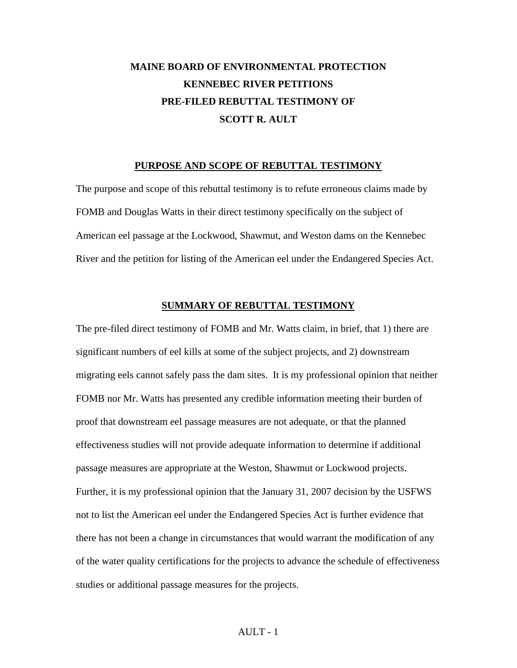# **MAINE BOARD OF ENVIRONMENTAL PROTECTION KENNEBEC RIVER PETITIONS PRE-FILED REBUTTAL TESTIMONY OF SCOTT R. AULT**

#### **PURPOSE AND SCOPE OF REBUTTAL TESTIMONY**

The purpose and scope of this rebuttal testimony is to refute erroneous claims made by FOMB and Douglas Watts in their direct testimony specifically on the subject of American eel passage at the Lockwood, Shawmut, and Weston dams on the Kennebec River and the petition for listing of the American eel under the Endangered Species Act.

#### **SUMMARY OF REBUTTAL TESTIMONY**

The pre-filed direct testimony of FOMB and Mr. Watts claim, in brief, that 1) there are significant numbers of eel kills at some of the subject projects, and 2) downstream migrating eels cannot safely pass the dam sites. It is my professional opinion that neither FOMB nor Mr. Watts has presented any credible information meeting their burden of proof that downstream eel passage measures are not adequate, or that the planned effectiveness studies will not provide adequate information to determine if additional passage measures are appropriate at the Weston, Shawmut or Lockwood projects. Further, it is my professional opinion that the January 31, 2007 decision by the USFWS not to list the American eel under the Endangered Species Act is further evidence that there has not been a change in circumstances that would warrant the modification of any of the water quality certifications for the projects to advance the schedule of effectiveness studies or additional passage measures for the projects.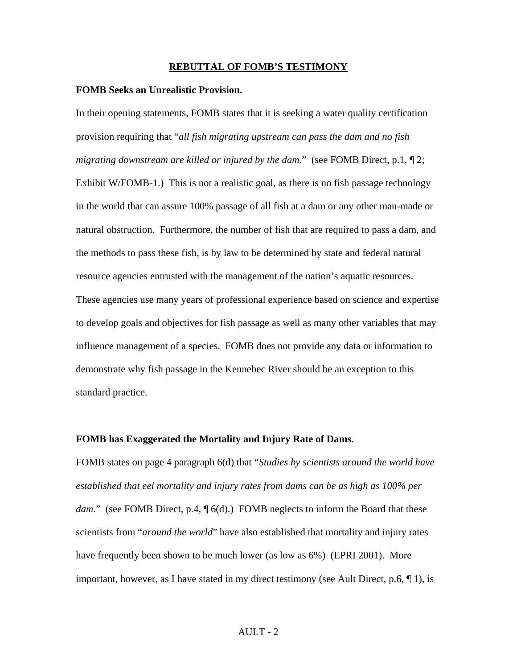#### **REBUTTAL OF FOMB'S TESTIMONY**

#### **FOMB Seeks an Unrealistic Provision.**

In their opening statements, FOMB states that it is seeking a water quality certification provision requiring that "*all fish migrating upstream can pass the dam and no fish migrating downstream are killed or injured by the dam.*" (see FOMB Direct, p.1, ¶ 2; Exhibit W/FOMB-1.) This is not a realistic goal, as there is no fish passage technology in the world that can assure 100% passage of all fish at a dam or any other man-made or natural obstruction. Furthermore, the number of fish that are required to pass a dam, and the methods to pass these fish, is by law to be determined by state and federal natural resource agencies entrusted with the management of the nation's aquatic resources. These agencies use many years of professional experience based on science and expertise to develop goals and objectives for fish passage as well as many other variables that may influence management of a species. FOMB does not provide any data or information to demonstrate why fish passage in the Kennebec River should be an exception to this standard practice.

#### **FOMB has Exaggerated the Mortality and Injury Rate of Dams**.

FOMB states on page 4 paragraph 6(d) that "*Studies by scientists around the world have established that eel mortality and injury rates from dams can be as high as 100% per dam.*" (see FOMB Direct, p.4,  $\parallel$  6(d).) FOMB neglects to inform the Board that these scientists from "*around the world*" have also established that mortality and injury rates have frequently been shown to be much lower (as low as 6%) (EPRI 2001). More important, however, as I have stated in my direct testimony (see Ault Direct, p.6,  $\P$ 1), is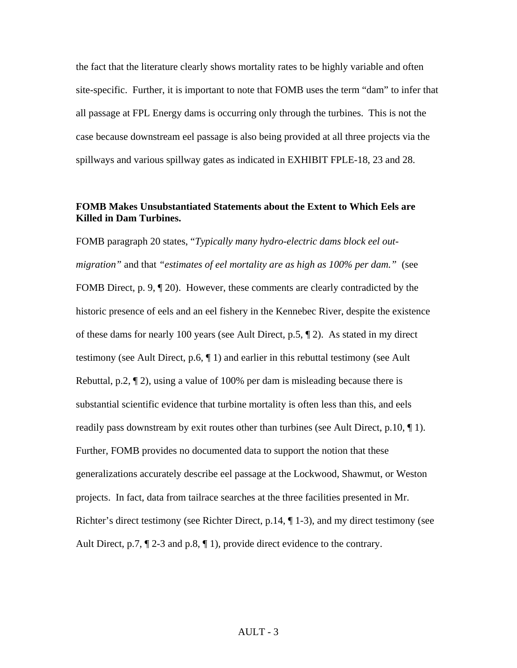the fact that the literature clearly shows mortality rates to be highly variable and often site-specific. Further, it is important to note that FOMB uses the term "dam" to infer that all passage at FPL Energy dams is occurring only through the turbines. This is not the case because downstream eel passage is also being provided at all three projects via the spillways and various spillway gates as indicated in EXHIBIT FPLE-18, 23 and 28.

#### **FOMB Makes Unsubstantiated Statements about the Extent to Which Eels are Killed in Dam Turbines.**

FOMB paragraph 20 states, "*Typically many hydro-electric dams block eel outmigration"* and that *"estimates of eel mortality are as high as 100% per dam."* (see FOMB Direct, p. 9,  $\P$  20). However, these comments are clearly contradicted by the historic presence of eels and an eel fishery in the Kennebec River, despite the existence of these dams for nearly 100 years (see Ault Direct, p.5, ¶ 2). As stated in my direct testimony (see Ault Direct, p.6, ¶ 1) and earlier in this rebuttal testimony (see Ault Rebuttal, p.2, ¶ 2), using a value of 100% per dam is misleading because there is substantial scientific evidence that turbine mortality is often less than this, and eels readily pass downstream by exit routes other than turbines (see Ault Direct, p.10,  $\P$ 1). Further, FOMB provides no documented data to support the notion that these generalizations accurately describe eel passage at the Lockwood, Shawmut, or Weston projects. In fact, data from tailrace searches at the three facilities presented in Mr. Richter's direct testimony (see Richter Direct,  $p.14$ ,  $[1-3)$ , and my direct testimony (see Ault Direct, p.7,  $\mathbb{I}$  2-3 and p.8,  $\mathbb{I}$  1), provide direct evidence to the contrary.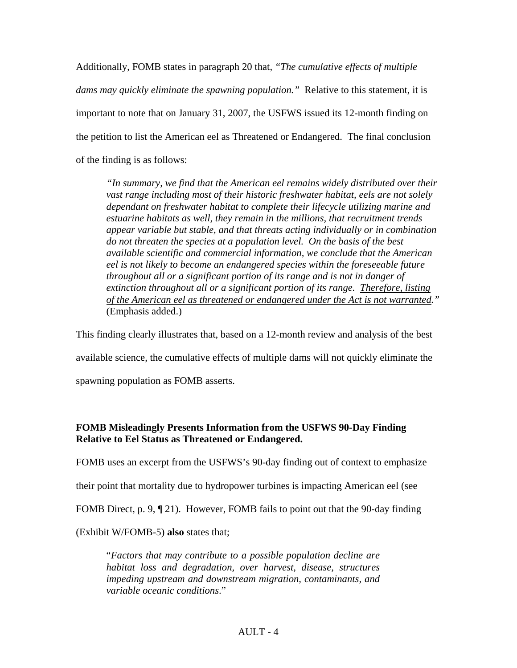Additionally, FOMB states in paragraph 20 that, *"The cumulative effects of multiple dams may quickly eliminate the spawning population."* Relative to this statement, it is important to note that on January 31, 2007, the USFWS issued its 12-month finding on the petition to list the American eel as Threatened or Endangered. The final conclusion of the finding is as follows:

*"In summary, we find that the American eel remains widely distributed over their vast range including most of their historic freshwater habitat, eels are not solely dependant on freshwater habitat to complete their lifecycle utilizing marine and estuarine habitats as well, they remain in the millions, that recruitment trends appear variable but stable, and that threats acting individually or in combination do not threaten the species at a population level. On the basis of the best available scientific and commercial information, we conclude that the American eel is not likely to become an endangered species within the foreseeable future throughout all or a significant portion of its range and is not in danger of extinction throughout all or a significant portion of its range. Therefore, listing of the American eel as threatened or endangered under the Act is not warranted."* (Emphasis added.)

This finding clearly illustrates that, based on a 12-month review and analysis of the best available science, the cumulative effects of multiple dams will not quickly eliminate the spawning population as FOMB asserts.

# **FOMB Misleadingly Presents Information from the USFWS 90-Day Finding Relative to Eel Status as Threatened or Endangered.**

FOMB uses an excerpt from the USFWS's 90-day finding out of context to emphasize

their point that mortality due to hydropower turbines is impacting American eel (see

FOMB Direct, p. 9, ¶ 21). However, FOMB fails to point out that the 90-day finding

(Exhibit W/FOMB-5) **also** states that;

"*Factors that may contribute to a possible population decline are habitat loss and degradation, over harvest, disease, structures impeding upstream and downstream migration, contaminants, and variable oceanic conditions*."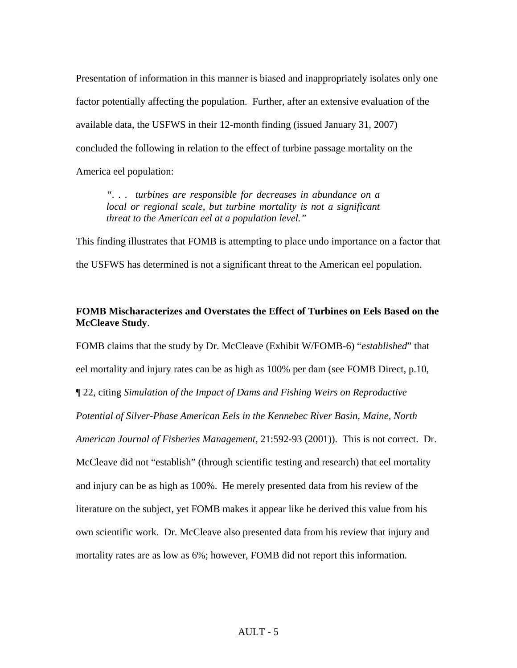Presentation of information in this manner is biased and inappropriately isolates only one factor potentially affecting the population. Further, after an extensive evaluation of the available data, the USFWS in their 12-month finding (issued January 31, 2007) concluded the following in relation to the effect of turbine passage mortality on the America eel population:

*". . . turbines are responsible for decreases in abundance on a local or regional scale, but turbine mortality is not a significant threat to the American eel at a population level."*

This finding illustrates that FOMB is attempting to place undo importance on a factor that the USFWS has determined is not a significant threat to the American eel population.

# **FOMB Mischaracterizes and Overstates the Effect of Turbines on Eels Based on the McCleave Study**.

FOMB claims that the study by Dr. McCleave (Exhibit W/FOMB-6) "*established*" that eel mortality and injury rates can be as high as 100% per dam (see FOMB Direct, p.10, ¶ 22, citing *Simulation of the Impact of Dams and Fishing Weirs on Reproductive Potential of Silver-Phase American Eels in the Kennebec River Basin, Maine, North American Journal of Fisheries Management,* 21:592-93 (2001)). This is not correct. Dr. McCleave did not "establish" (through scientific testing and research) that eel mortality and injury can be as high as 100%. He merely presented data from his review of the literature on the subject, yet FOMB makes it appear like he derived this value from his own scientific work. Dr. McCleave also presented data from his review that injury and mortality rates are as low as 6%; however, FOMB did not report this information.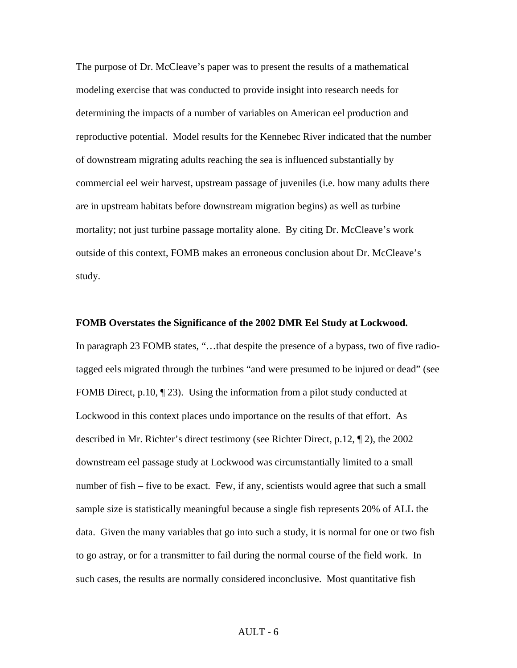The purpose of Dr. McCleave's paper was to present the results of a mathematical modeling exercise that was conducted to provide insight into research needs for determining the impacts of a number of variables on American eel production and reproductive potential. Model results for the Kennebec River indicated that the number of downstream migrating adults reaching the sea is influenced substantially by commercial eel weir harvest, upstream passage of juveniles (i.e. how many adults there are in upstream habitats before downstream migration begins) as well as turbine mortality; not just turbine passage mortality alone. By citing Dr. McCleave's work outside of this context, FOMB makes an erroneous conclusion about Dr. McCleave's study.

#### **FOMB Overstates the Significance of the 2002 DMR Eel Study at Lockwood.**

In paragraph 23 FOMB states, "…that despite the presence of a bypass, two of five radiotagged eels migrated through the turbines "and were presumed to be injured or dead" (see FOMB Direct, p.10,  $\llbracket 23$ . Using the information from a pilot study conducted at Lockwood in this context places undo importance on the results of that effort. As described in Mr. Richter's direct testimony (see Richter Direct, p.12, ¶ 2), the 2002 downstream eel passage study at Lockwood was circumstantially limited to a small number of fish – five to be exact. Few, if any, scientists would agree that such a small sample size is statistically meaningful because a single fish represents 20% of ALL the data. Given the many variables that go into such a study, it is normal for one or two fish to go astray, or for a transmitter to fail during the normal course of the field work. In such cases, the results are normally considered inconclusive. Most quantitative fish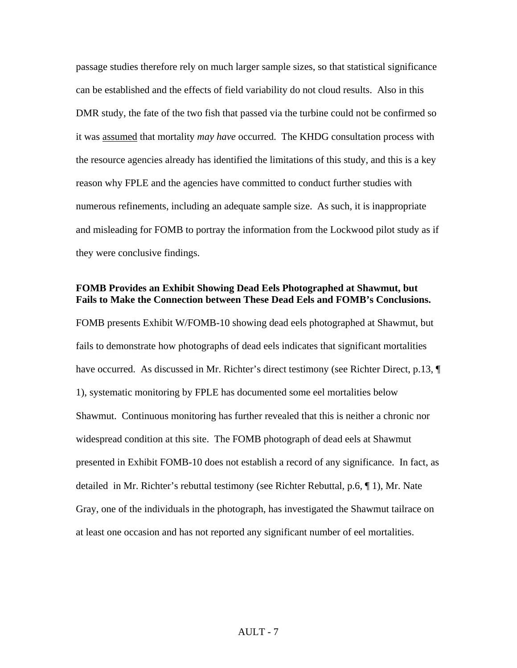passage studies therefore rely on much larger sample sizes, so that statistical significance can be established and the effects of field variability do not cloud results. Also in this DMR study, the fate of the two fish that passed via the turbine could not be confirmed so it was assumed that mortality *may have* occurred. The KHDG consultation process with the resource agencies already has identified the limitations of this study, and this is a key reason why FPLE and the agencies have committed to conduct further studies with numerous refinements, including an adequate sample size. As such, it is inappropriate and misleading for FOMB to portray the information from the Lockwood pilot study as if they were conclusive findings.

### **FOMB Provides an Exhibit Showing Dead Eels Photographed at Shawmut, but Fails to Make the Connection between These Dead Eels and FOMB's Conclusions.**

FOMB presents Exhibit W/FOMB-10 showing dead eels photographed at Shawmut, but fails to demonstrate how photographs of dead eels indicates that significant mortalities have occurred. As discussed in Mr. Richter's direct testimony (see Richter Direct, p.13,  $\P$ 1), systematic monitoring by FPLE has documented some eel mortalities below Shawmut. Continuous monitoring has further revealed that this is neither a chronic nor widespread condition at this site. The FOMB photograph of dead eels at Shawmut presented in Exhibit FOMB-10 does not establish a record of any significance. In fact, as detailed in Mr. Richter's rebuttal testimony (see Richter Rebuttal, p.6, ¶ 1), Mr. Nate Gray, one of the individuals in the photograph, has investigated the Shawmut tailrace on at least one occasion and has not reported any significant number of eel mortalities.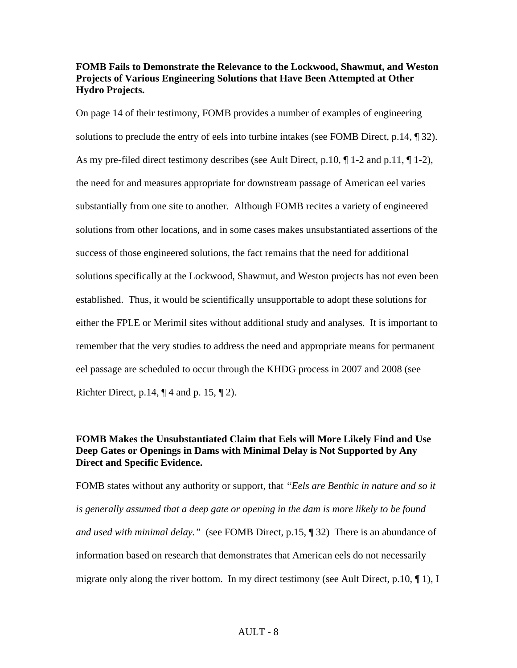### **FOMB Fails to Demonstrate the Relevance to the Lockwood, Shawmut, and Weston Projects of Various Engineering Solutions that Have Been Attempted at Other Hydro Projects.**

On page 14 of their testimony, FOMB provides a number of examples of engineering solutions to preclude the entry of eels into turbine intakes (see FOMB Direct, p.14, ¶ 32). As my pre-filed direct testimony describes (see Ault Direct, p.10,  $\P$  1-2 and p.11,  $\P$  1-2), the need for and measures appropriate for downstream passage of American eel varies substantially from one site to another. Although FOMB recites a variety of engineered solutions from other locations, and in some cases makes unsubstantiated assertions of the success of those engineered solutions, the fact remains that the need for additional solutions specifically at the Lockwood, Shawmut, and Weston projects has not even been established. Thus, it would be scientifically unsupportable to adopt these solutions for either the FPLE or Merimil sites without additional study and analyses. It is important to remember that the very studies to address the need and appropriate means for permanent eel passage are scheduled to occur through the KHDG process in 2007 and 2008 (see Richter Direct, p.14,  $\P$  4 and p. 15,  $\P$  2).

#### **FOMB Makes the Unsubstantiated Claim that Eels will More Likely Find and Use Deep Gates or Openings in Dams with Minimal Delay is Not Supported by Any Direct and Specific Evidence.**

FOMB states without any authority or support, that *"Eels are Benthic in nature and so it is generally assumed that a deep gate or opening in the dam is more likely to be found and used with minimal delay."* (see FOMB Direct, p.15, ¶ 32) There is an abundance of information based on research that demonstrates that American eels do not necessarily migrate only along the river bottom. In my direct testimony (see Ault Direct, p.10,  $\P$ 1), I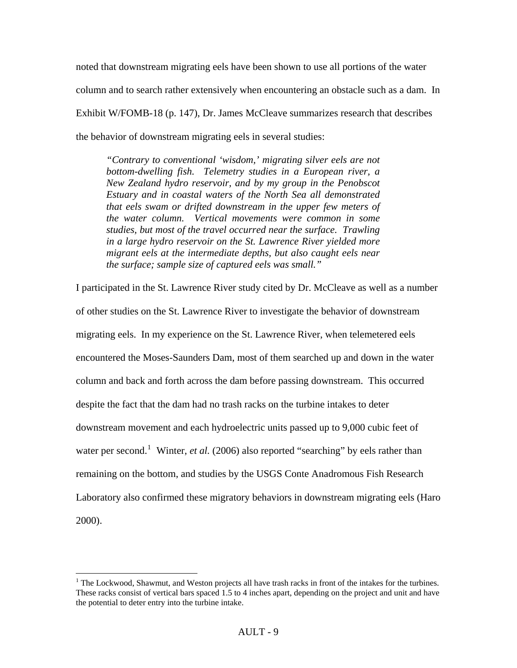noted that downstream migrating eels have been shown to use all portions of the water column and to search rather extensively when encountering an obstacle such as a dam. In Exhibit W/FOMB-18 (p. 147), Dr. James McCleave summarizes research that describes the behavior of downstream migrating eels in several studies:

*"Contrary to conventional 'wisdom,' migrating silver eels are not bottom-dwelling fish. Telemetry studies in a European river, a New Zealand hydro reservoir, and by my group in the Penobscot Estuary and in coastal waters of the North Sea all demonstrated that eels swam or drifted downstream in the upper few meters of the water column. Vertical movements were common in some studies, but most of the travel occurred near the surface. Trawling in a large hydro reservoir on the St. Lawrence River yielded more migrant eels at the intermediate depths, but also caught eels near the surface; sample size of captured eels was small."*

I participated in the St. Lawrence River study cited by Dr. McCleave as well as a number of other studies on the St. Lawrence River to investigate the behavior of downstream migrating eels. In my experience on the St. Lawrence River, when telemetered eels encountered the Moses-Saunders Dam, most of them searched up and down in the water column and back and forth across the dam before passing downstream. This occurred despite the fact that the dam had no trash racks on the turbine intakes to deter downstream movement and each hydroelectric units passed up to 9,000 cubic feet of water per second.<sup>[1](#page-10-0)</sup> Winter, *et al.* (2006) also reported "searching" by eels rather than remaining on the bottom, and studies by the USGS Conte Anadromous Fish Research Laboratory also confirmed these migratory behaviors in downstream migrating eels (Haro 2000).

 $\overline{a}$ 

<span id="page-10-0"></span><sup>&</sup>lt;sup>1</sup> The Lockwood, Shawmut, and Weston projects all have trash racks in front of the intakes for the turbines. These racks consist of vertical bars spaced 1.5 to 4 inches apart, depending on the project and unit and have the potential to deter entry into the turbine intake.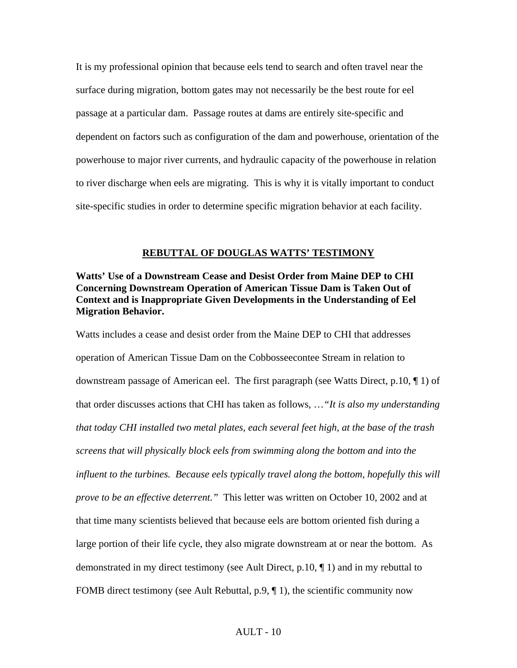It is my professional opinion that because eels tend to search and often travel near the surface during migration, bottom gates may not necessarily be the best route for eel passage at a particular dam. Passage routes at dams are entirely site-specific and dependent on factors such as configuration of the dam and powerhouse, orientation of the powerhouse to major river currents, and hydraulic capacity of the powerhouse in relation to river discharge when eels are migrating. This is why it is vitally important to conduct site-specific studies in order to determine specific migration behavior at each facility.

#### **REBUTTAL OF DOUGLAS WATTS' TESTIMONY**

### **Watts' Use of a Downstream Cease and Desist Order from Maine DEP to CHI Concerning Downstream Operation of American Tissue Dam is Taken Out of Context and is Inappropriate Given Developments in the Understanding of Eel Migration Behavior.**

Watts includes a cease and desist order from the Maine DEP to CHI that addresses operation of American Tissue Dam on the Cobbosseecontee Stream in relation to downstream passage of American eel. The first paragraph (see Watts Direct, p.10, ¶ 1) of that order discusses actions that CHI has taken as follows, …*"It is also my understanding that today CHI installed two metal plates, each several feet high, at the base of the trash screens that will physically block eels from swimming along the bottom and into the influent to the turbines. Because eels typically travel along the bottom, hopefully this will prove to be an effective deterrent."* This letter was written on October 10, 2002 and at that time many scientists believed that because eels are bottom oriented fish during a large portion of their life cycle, they also migrate downstream at or near the bottom. As demonstrated in my direct testimony (see Ault Direct, p.10, ¶ 1) and in my rebuttal to FOMB direct testimony (see Ault Rebuttal, p.9,  $\P$  1), the scientific community now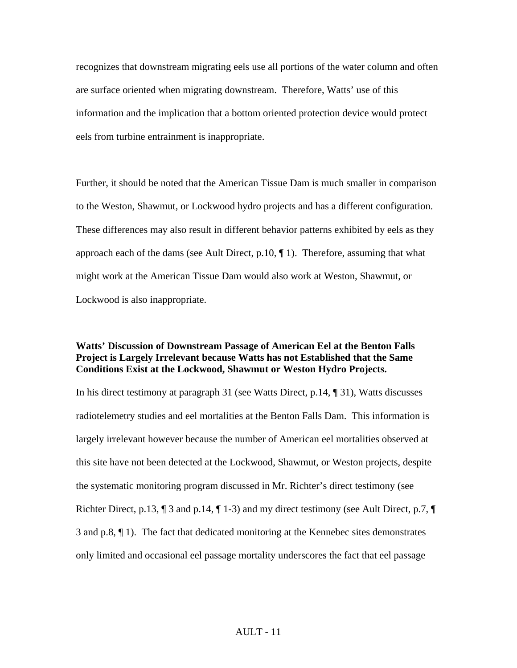recognizes that downstream migrating eels use all portions of the water column and often are surface oriented when migrating downstream. Therefore, Watts' use of this information and the implication that a bottom oriented protection device would protect eels from turbine entrainment is inappropriate.

Further, it should be noted that the American Tissue Dam is much smaller in comparison to the Weston, Shawmut, or Lockwood hydro projects and has a different configuration. These differences may also result in different behavior patterns exhibited by eels as they approach each of the dams (see Ault Direct, p.10,  $\P$  1). Therefore, assuming that what might work at the American Tissue Dam would also work at Weston, Shawmut, or Lockwood is also inappropriate.

#### **Watts' Discussion of Downstream Passage of American Eel at the Benton Falls Project is Largely Irrelevant because Watts has not Established that the Same Conditions Exist at the Lockwood, Shawmut or Weston Hydro Projects.**

In his direct testimony at paragraph 31 (see Watts Direct, p.14, ¶ 31), Watts discusses radiotelemetry studies and eel mortalities at the Benton Falls Dam. This information is largely irrelevant however because the number of American eel mortalities observed at this site have not been detected at the Lockwood, Shawmut, or Weston projects, despite the systematic monitoring program discussed in Mr. Richter's direct testimony (see Richter Direct, p.13,  $\parallel$  3 and p.14,  $\parallel$  1-3) and my direct testimony (see Ault Direct, p.7,  $\parallel$ 3 and p.8, ¶ 1). The fact that dedicated monitoring at the Kennebec sites demonstrates only limited and occasional eel passage mortality underscores the fact that eel passage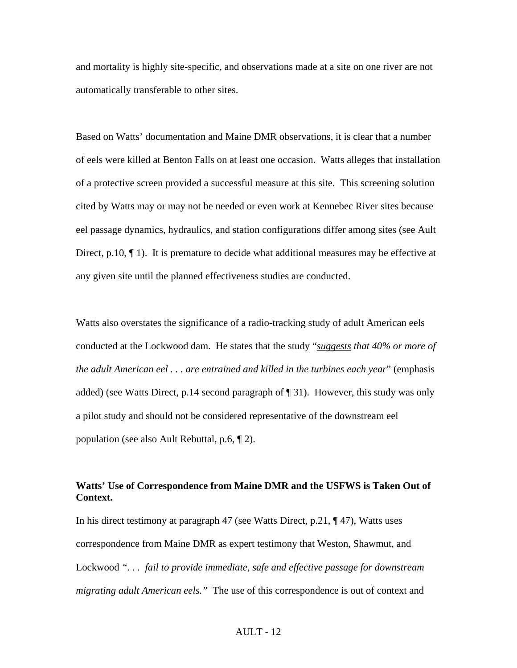and mortality is highly site-specific, and observations made at a site on one river are not automatically transferable to other sites.

Based on Watts' documentation and Maine DMR observations, it is clear that a number of eels were killed at Benton Falls on at least one occasion. Watts alleges that installation of a protective screen provided a successful measure at this site. This screening solution cited by Watts may or may not be needed or even work at Kennebec River sites because eel passage dynamics, hydraulics, and station configurations differ among sites (see Ault Direct, p.10,  $\P$  1). It is premature to decide what additional measures may be effective at any given site until the planned effectiveness studies are conducted.

Watts also overstates the significance of a radio-tracking study of adult American eels conducted at the Lockwood dam. He states that the study "*suggests that 40% or more of the adult American eel . . . are entrained and killed in the turbines each year*" (emphasis added) (see Watts Direct, p.14 second paragraph of ¶ 31). However, this study was only a pilot study and should not be considered representative of the downstream eel population (see also Ault Rebuttal, p.6, ¶ 2).

# **Watts' Use of Correspondence from Maine DMR and the USFWS is Taken Out of Context.**

In his direct testimony at paragraph 47 (see Watts Direct,  $p.21$ ,  $\P$  47), Watts uses correspondence from Maine DMR as expert testimony that Weston, Shawmut, and Lockwood *". . . fail to provide immediate, safe and effective passage for downstream migrating adult American eels."* The use of this correspondence is out of context and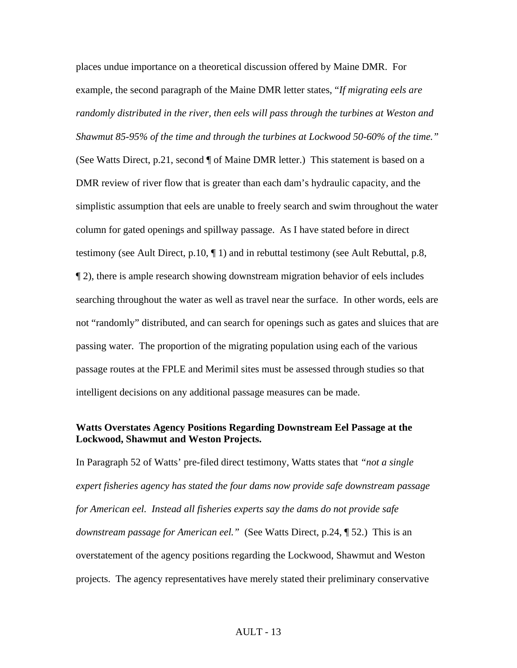places undue importance on a theoretical discussion offered by Maine DMR. For example, the second paragraph of the Maine DMR letter states, "*If migrating eels are randomly distributed in the river, then eels will pass through the turbines at Weston and Shawmut 85-95% of the time and through the turbines at Lockwood 50-60% of the time."* (See Watts Direct, p.21, second ¶ of Maine DMR letter.) This statement is based on a DMR review of river flow that is greater than each dam's hydraulic capacity, and the simplistic assumption that eels are unable to freely search and swim throughout the water column for gated openings and spillway passage. As I have stated before in direct testimony (see Ault Direct,  $p.10$ ,  $\P$  1) and in rebuttal testimony (see Ault Rebuttal, p.8, ¶ 2), there is ample research showing downstream migration behavior of eels includes searching throughout the water as well as travel near the surface. In other words, eels are not "randomly" distributed, and can search for openings such as gates and sluices that are passing water. The proportion of the migrating population using each of the various passage routes at the FPLE and Merimil sites must be assessed through studies so that intelligent decisions on any additional passage measures can be made.

#### **Watts Overstates Agency Positions Regarding Downstream Eel Passage at the Lockwood, Shawmut and Weston Projects.**

In Paragraph 52 of Watts' pre-filed direct testimony, Watts states that *"not a single expert fisheries agency has stated the four dams now provide safe downstream passage for American eel. Instead all fisheries experts say the dams do not provide safe downstream passage for American eel."* (See Watts Direct, p.24, ¶ 52.) This is an overstatement of the agency positions regarding the Lockwood, Shawmut and Weston projects. The agency representatives have merely stated their preliminary conservative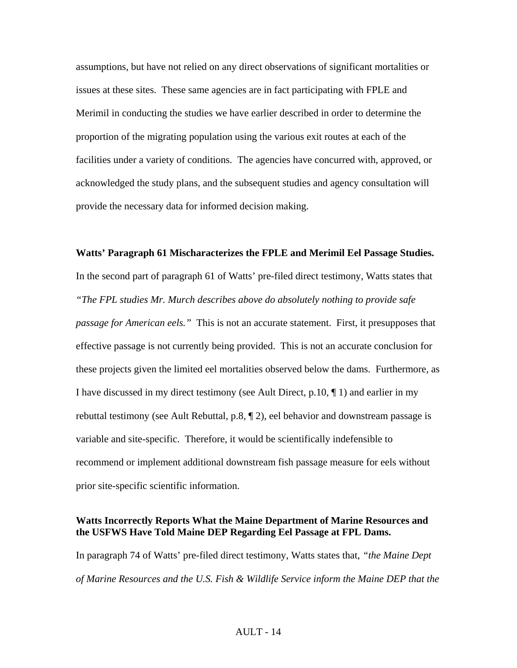assumptions, but have not relied on any direct observations of significant mortalities or issues at these sites. These same agencies are in fact participating with FPLE and Merimil in conducting the studies we have earlier described in order to determine the proportion of the migrating population using the various exit routes at each of the facilities under a variety of conditions. The agencies have concurred with, approved, or acknowledged the study plans, and the subsequent studies and agency consultation will provide the necessary data for informed decision making.

# **Watts' Paragraph 61 Mischaracterizes the FPLE and Merimil Eel Passage Studies.** In the second part of paragraph 61 of Watts' pre-filed direct testimony, Watts states that *"The FPL studies Mr. Murch describes above do absolutely nothing to provide safe passage for American eels."* This is not an accurate statement. First, it presupposes that effective passage is not currently being provided. This is not an accurate conclusion for these projects given the limited eel mortalities observed below the dams. Furthermore, as I have discussed in my direct testimony (see Ault Direct, p.10, ¶ 1) and earlier in my rebuttal testimony (see Ault Rebuttal,  $p.8, \P 2$ ), eel behavior and downstream passage is variable and site-specific. Therefore, it would be scientifically indefensible to recommend or implement additional downstream fish passage measure for eels without prior site-specific scientific information.

#### **Watts Incorrectly Reports What the Maine Department of Marine Resources and the USFWS Have Told Maine DEP Regarding Eel Passage at FPL Dams.**

In paragraph 74 of Watts' pre-filed direct testimony, Watts states that, *"the Maine Dept of Marine Resources and the U.S. Fish & Wildlife Service inform the Maine DEP that the*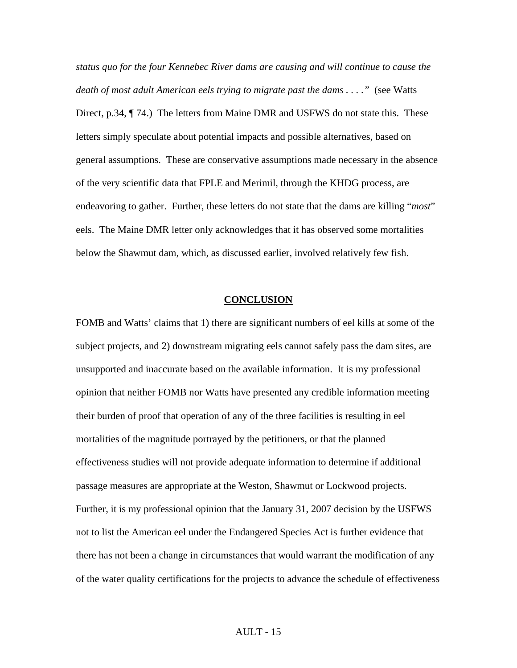*status quo for the four Kennebec River dams are causing and will continue to cause the death of most adult American eels trying to migrate past the dams ....*" (see Watts Direct, p.34, ¶ 74.) The letters from Maine DMR and USFWS do not state this. These letters simply speculate about potential impacts and possible alternatives, based on general assumptions. These are conservative assumptions made necessary in the absence of the very scientific data that FPLE and Merimil, through the KHDG process, are endeavoring to gather. Further, these letters do not state that the dams are killing "*most*" eels. The Maine DMR letter only acknowledges that it has observed some mortalities below the Shawmut dam, which, as discussed earlier, involved relatively few fish.

#### **CONCLUSION**

FOMB and Watts' claims that 1) there are significant numbers of eel kills at some of the subject projects, and 2) downstream migrating eels cannot safely pass the dam sites, are unsupported and inaccurate based on the available information. It is my professional opinion that neither FOMB nor Watts have presented any credible information meeting their burden of proof that operation of any of the three facilities is resulting in eel mortalities of the magnitude portrayed by the petitioners, or that the planned effectiveness studies will not provide adequate information to determine if additional passage measures are appropriate at the Weston, Shawmut or Lockwood projects. Further, it is my professional opinion that the January 31, 2007 decision by the USFWS not to list the American eel under the Endangered Species Act is further evidence that there has not been a change in circumstances that would warrant the modification of any of the water quality certifications for the projects to advance the schedule of effectiveness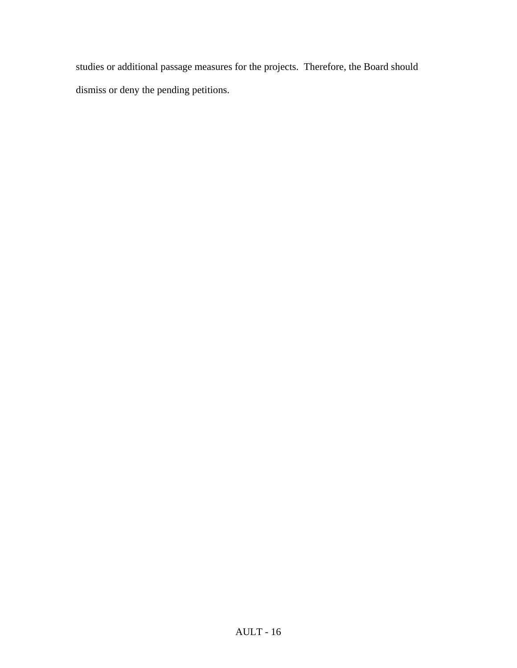studies or additional passage measures for the projects. Therefore, the Board should dismiss or deny the pending petitions.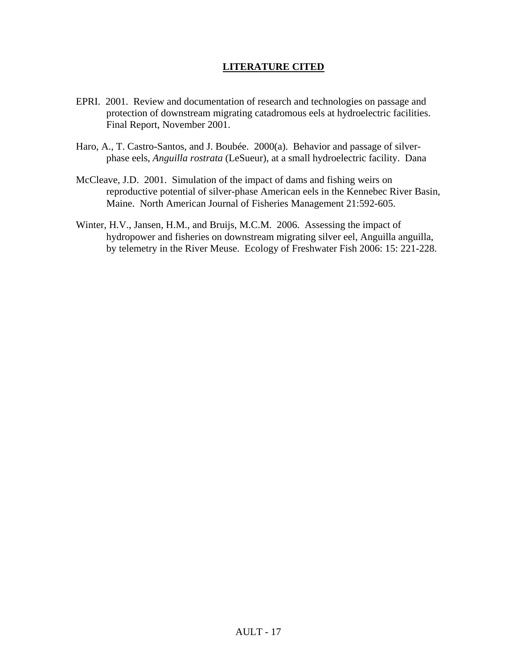## **LITERATURE CITED**

- EPRI. 2001. Review and documentation of research and technologies on passage and protection of downstream migrating catadromous eels at hydroelectric facilities. Final Report, November 2001.
- Haro, A., T. Castro-Santos, and J. Boubée. 2000(a). Behavior and passage of silverphase eels, *Anguilla rostrata* (LeSueur), at a small hydroelectric facility. Dana
- McCleave, J.D. 2001. Simulation of the impact of dams and fishing weirs on reproductive potential of silver-phase American eels in the Kennebec River Basin, Maine. North American Journal of Fisheries Management 21:592-605.
- Winter, H.V., Jansen, H.M., and Bruijs, M.C.M. 2006. Assessing the impact of hydropower and fisheries on downstream migrating silver eel, Anguilla anguilla, by telemetry in the River Meuse. Ecology of Freshwater Fish 2006: 15: 221-228.